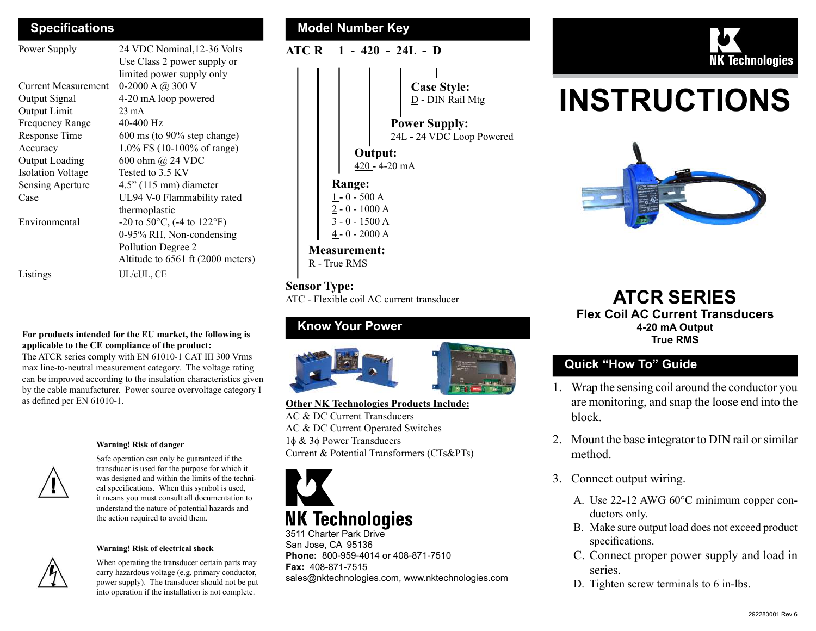| Power Supply               | 24 VDC Nominal, 12-36 Volts                         | ATC R | $-420$<br>$\mathbf 1$    |
|----------------------------|-----------------------------------------------------|-------|--------------------------|
|                            | Use Class 2 power supply or                         |       |                          |
|                            | limited power supply only                           |       |                          |
| <b>Current Measurement</b> | 0-2000 A $@300$ V                                   |       |                          |
| Output Signal              | 4-20 mA loop powered                                |       |                          |
| Output Limit               | $23 \text{ mA}$                                     |       |                          |
| Frequency Range            | $40-400$ Hz                                         |       |                          |
| Response Time              | $600 \text{ ms}$ (to 90% step change)               |       |                          |
| Accuracy                   | 1.0% FS (10-100% of range)                          |       | Outp                     |
| Output Loading             | 600 ohm @ 24 VDC                                    |       | $420 - 4$                |
| <b>Isolation Voltage</b>   | Tested to 3.5 KV                                    |       |                          |
| Sensing Aperture           | $4.5$ " (115 mm) diameter                           |       | Range:                   |
| Case                       | UL94 V-0 Flammability rated                         |       | $1 - 0 - 500 A$          |
|                            | thermoplastic                                       |       | $2 - 0 - 1000$           |
| Environmental              | $-20$ to 50 $\degree$ C, ( $-4$ to 122 $\degree$ F) |       | $3 - 0 - 1500$           |
|                            | 0-95% RH, Non-condensing                            |       | $\frac{4}{5}$ - 0 - 2000 |
|                            | Pollution Degree 2                                  |       | <b>Measurement</b>       |
|                            | Altitude to 6561 ft (2000 meters)                   |       | $R$ - True RMS           |
| Listings                   | UL/cUL, CE                                          |       |                          |

## For products intended for the EU market, the following is

applicable to the CE compliance of the product: The ATCR series comply with EN 61010-1 CAT III 300 Vrms

max line-to-neutral measurement category. The voltage rating can be improved according to the insulation characteristics given by the cable manufacturer. Power source overvoltage category I as defined per EN 61010-1.



#### Warning! Risk of danger

Safe operation can only be guaranteed if the transducer is used for the purpose for which it was designed and within the limits of the technical specifications. When this symbol is used, it means you must consult all documentation to understand the nature of potential hazards and the action required to avoid them.

#### Warning! Risk of electrical shock



When operating the transducer certain parts may carry hazardous voltage (e.g. primary conductor, power supply). The transducer should not be put into operation if the installation is not complete.



#### ATC R 1 - 420 - 24L - D

Case Style: D - DIN Rail Mtg

Power Supply: 24L - 24 VDC Loop Powered

Output: 420 - 4-20 mA

 $1 - 0 - 500 A$ 2 - 0 - 1000 A 3 - 0 - 1500 A 4 - 0 - 2000 A

Measurement: R - True RMS

#### Sensor Type:

ATC - Flexible coil AC current transducer

#### Know Your Power



Other NK Technologies Products Include: AC & DC Current Transducers AC & DC Current Operated Switches  $1\phi \& 3\phi$  Power Transducers Current & Potential Transformers (CTs&PTs)



3511 Charter Park Drive San Jose, CA 95136 Phone: 800-959-4014 or 408-871-7510 Fax: 408-871-7515 sales@nktechnologies.com, www.nktechnologies.com



# INSTRUCTIONS



ATCR SERIES Flex Coil AC Current Transducers 4-20 mA Output True RMS

#### Quick "How To" Guide

- 1. Wrap the sensing coil around the conductor you are monitoring, and snap the loose end into the block.
- 2. Mount the base integrator to DIN rail or similar method.
- 3. Connect output wiring.
	- A. Use 22-12 AWG 60°C minimum copper conductors only.
	- B. Make sure output load does not exceed product specifications.
	- C. Connect proper power supply and load in series.
	- D. Tighten screw terminals to 6 in-lbs.